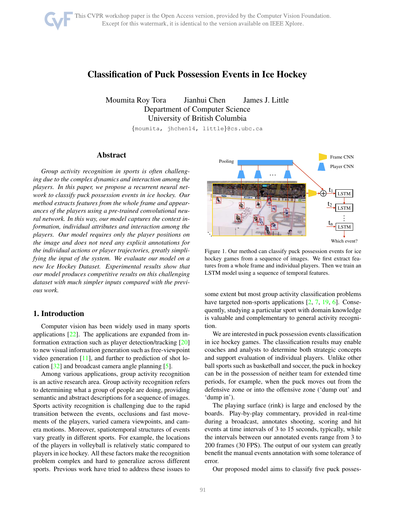# <span id="page-0-1"></span>Classification of Puck Possession Events in Ice Hockey

Moumita Roy Tora Jianhui Chen James J. Little Department of Computer Science University of British Columbia

{moumita, jhchen14, little}@cs.ubc.ca

# Abstract

*Group activity recognition in sports is often challenging due to the complex dynamics and interaction among the players. In this paper, we propose a recurrent neural network to classify puck possession events in ice hockey. Our method extracts features from the whole frame and appearances of the players using a pre-trained convolutional neural network. In this way, our model captures the context information, individual attributes and interaction among the players. Our model requires only the player positions on the image and does not need any explicit annotations for the individual actions or player trajectories, greatly simplifying the input of the system. We evaluate our model on a new Ice Hockey Dataset. Experimental results show that our model produces competitive results on this challenging dataset with much simpler inputs compared with the previous work.*

# 1. Introduction

Computer vision has been widely used in many sports applications [\[22\]](#page-6-0). The applications are expanded from information extraction such as player detection/tracking [\[20\]](#page-6-1) to new visual information generation such as free-viewpoint video generation  $[11]$ , and further to prediction of shot location [\[32\]](#page-7-0) and broadcast camera angle planning [\[5\]](#page-6-3).

Among various applications, group activity recognition is an active research area. Group activity recognition refers to determining what a group of people are doing, providing semantic and abstract descriptions for a sequence of images. Sports activity recognition is challenging due to the rapid transition between the events, occlusions and fast movements of the players, varied camera viewpoints, and camera motions. Moreover, spatiotemporal structures of events vary greatly in different sports. For example, the locations of the players in volleyball is relatively static compared to players in ice hockey. All these factors make the recognition problem complex and hard to generalize across different sports. Previous work have tried to address these issues to



<span id="page-0-0"></span>Figure 1. Our method can classify puck possession events for ice hockey games from a sequence of images. We first extract features from a whole frame and individual players. Then we train an LSTM model using a sequence of temporal features.

some extent but most group activity classification problems have targeted non-sports applications [\[2,](#page-6-4) [7,](#page-6-5) [19,](#page-6-6) [6\]](#page-6-7). Consequently, studying a particular sport with domain knowledge is valuable and complementary to general activity recognition.

We are interested in puck possession events classification in ice hockey games. The classification results may enable coaches and analysts to determine both strategic concepts and support evaluation of individual players. Unlike other ball sports such as basketball and soccer, the puck in hockey can be in the possession of neither team for extended time periods, for example, when the puck moves out from the defensive zone or into the offensive zone ('dump out' and 'dump in').

The playing surface (rink) is large and enclosed by the boards. Play-by-play commentary, provided in real-time during a broadcast, annotates shooting, scoring and hit events at time intervals of 3 to 15 seconds, typically, while the intervals between our annotated events range from 3 to 200 frames (30 FPS). The output of our system can greatly benefit the manual events annotation with some tolerance of error.

Our proposed model aims to classify five puck posses-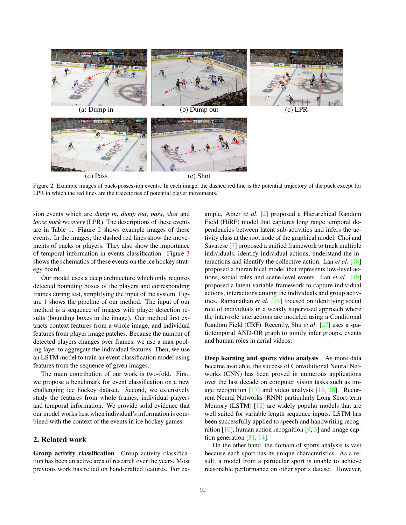<span id="page-1-1"></span>

<span id="page-1-0"></span>Figure 2. Example images of puck-possession events. In each image, the dashed red line is the potential trajectory of the puck except for LPR in which the red lines are the trajectories of potential player movements.

sion events which are *dump in*, *dump out*, *pass*, *shot* and *loose puck recovery* (LPR). The descriptions of these events are in Table [1.](#page-4-0) Figure [2](#page-1-0) shows example images of these events. In the images, the dashed red lines show the movements of pucks or players. They also show the importance of temporal information in events classification. Figure [3](#page-3-0) shows the schematics of these events on the ice hockey strategy board.

Our model uses a deep architecture which only requires detected bounding boxes of the players and corresponding frames during test, simplifying the input of the system. Figure [1](#page-0-0) shows the pipeline of our method. The input of our method is a sequence of images with player detection results (bounding boxes in the image). Our method first extracts context features from a whole image, and individual features from player image patches. Because the number of detected players changes over frames, we use a max pooling layer to aggregate the individual features. Then, we use an LSTM model to train an event classification model using features from the sequence of given images.

The main contribution of our work is two-fold. First, we propose a benchmark for event classification on a new challenging ice hockey dataset. Second, we extensively study the features from whole frames, individual players and temporal information. We provide solid evidence that our model works best when individual's information is combined with the context of the events in ice hockey games.

## 2. Related work

Group activity classification Group activity classification has been an active area of research over the years. Most previous work has relied on hand-crafted features. For example, Amer *et al*. [\[2\]](#page-6-4) proposed a Hierarchical Random Field (HiRF) model that captures long range temporal dependencies between latent sub-activities and infers the activity class at the root node of the graphical model. Choi and Savarese [\[7\]](#page-6-5) proposed a unified framework to track multiple individuals, identify individual actions, understand the interactions and identify the collective action. Lan *et al*. [\[18\]](#page-6-8) proposed a hierarchical model that represents low-level actions, social roles and scene-level events. Lan *et al*. [\[19\]](#page-6-6) proposed a latent variable framework to capture individual actions, interactions among the individuals and group activities. Ramanathan *et al*. [\[24\]](#page-6-9) focused on identifying social role of individuals in a weakly supervised approach where the inter-role interactions are modeled using a Conditional Random Field (CRF). Recently, Shu *et al*. [\[27\]](#page-7-1) uses a spatiotemporal AND-OR graph to jointly infer groups, events and human roles in aerial videos.

Deep learning and sports video analysis As more data became available, the success of Convolutional Neural Networks (CNN) has been proved in numerous applications over the last decade on computer vision tasks such as image recognition [\[17\]](#page-6-10) and video analysis [\[15,](#page-6-11) [28\]](#page-7-2). Recurrent Neural Networks (RNN) particularly Long Short-term Memory (LSTM) [\[12\]](#page-6-12) are widely popular models that are well suited for variable length sequence inputs. LSTM has been successfully applied to speech and handwriting recognition  $[10]$ , human action recognition  $[9, 3]$  $[9, 3]$  $[9, 3]$  and image caption generation  $[31, 14]$  $[31, 14]$  $[31, 14]$ .

On the other hand, the domain of sports analysis is vast because each sport has its unique characteristics. As a result, a model from a particular sport is unable to achieve reasonable performance on other sports dataset. However,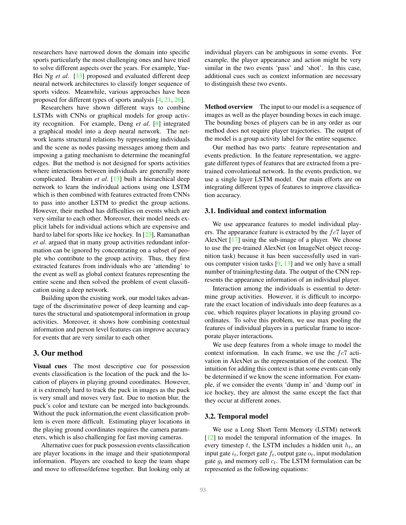<span id="page-2-0"></span>researchers have narrowed down the domain into specific sports particularly the most challenging ones and have tried to solve different aspects over the years. For example, Yue-Hei Ng *et al.* [\[33\]](#page-7-4) proposed and evaluated different deep neural network architectures to classify longer sequence of sports videos. Meanwhile, various approaches have been proposed for different types of sports analysis [\[4,](#page-6-17) [21,](#page-6-18) [26\]](#page-7-5).

Researchers have shown different ways to combine LSTMs with CNNs or graphical models for group activity recognition. For example, Deng *et al*. [\[8\]](#page-6-19) integrated a graphical model into a deep neural network. The network learns structural relations by representing individuals and the scene as nodes passing messages among them and imposing a gating mechanism to determine the meaningful edges. But the method is not designed for sports activities where interactions between individuals are generally more complicated. Ibrahim *et al*. [\[13\]](#page-6-20) built a hierarchical deep network to learn the individual actions using one LSTM which is then combined with features extracted from CNNs to pass into another LSTM to predict the group actions. However, their method has difficulties on events which are very similar to each other. Moreover, their model needs explicit labels for individual actions which are expensive and hard to label for sports like ice hockey. In [\[23\]](#page-6-21), Ramanathan *et al*. argued that in many group activities redundant information can be ignored by concentrating on a subset of people who contribute to the group activity. Thus, they first extracted features from individuals who are 'attending' to the event as well as global context features representing the entire scene and then solved the problem of event classification using a deep network.

Building upon the existing work, our model takes advantage of the discriminative power of deep learning and captures the structural and spatiotemporal information in group activities. Moreover, it shows how combining contextual information and person level features can improve accuracy for events that are very similar to each other.

## 3. Our method

Visual cues The most descriptive cue for possession events classification is the location of the puck and the location of players in playing ground coordinates. However, it is extremely hard to track the puck in images as the puck is very small and moves very fast. Due to motion blur, the puck's color and texture can be merged into backgrounds. Without the puck information,the event classification problem is even more difficult. Estimating player locations in the playing ground coordinates requires the camera parameters, which is also challenging for fast moving cameras.

Alternative cues for puck possession events classification are player locations in the image and their spatiotemporal information. Players are coached to keep the team shape and move to offense/defense together. But looking only at individual players can be ambiguous in some events. For example, the player appearance and action might be very similar in the two events 'pass' and 'shot'. In this case, additional cues such as context information are necessary to distinguish these two events.

Method overview The input to our model is a sequence of images as well as the player bounding boxes in each image. The bounding boxes of players can be in any order as our method does not require player trajectories. The output of the model is a group activity label for the entire sequence.

Our method has two parts: feature representation and events prediction. In the feature representation, we aggregate different types of features that are extracted from a pretrained convolutional network. In the events prediction, we use a single layer LSTM model. Our main efforts are on integrating different types of features to improve classification accuracy.

#### 3.1. Individual and context information

We use appearance features to model individual players. The appearance feature is extracted by the  $fc7$  layer of AlexNet [\[17\]](#page-6-10) using the sub-image of a player. We choose to use the pre-trained AlexNet (on ImageNet object recognition task) because it has been successfully used in various computer vision tasks  $[9, 13]$  $[9, 13]$  and we only have a small number of training/testing data. The output of the CNN represents the appearance information of an individual player.

Interaction among the individuals is essential to determine group activities. However, it is difficult to incorporate the exact location of individuals into deep features as a cue, which requires player locations in playing ground coordinates. To solve this problem, we use max pooling the features of individual players in a particular frame to incorporate player interactions.

We use deep features from a whole image to model the context information. In each frame, we use the  $fc7$  activation in AlexNet as the representation of the context. The intuition for adding this context is that some events can only be determined if we know the scene information. For example, if we consider the events 'dump in' and 'dump out' in ice hockey, they are almost the same except the fact that they occur at different zones.

#### 3.2. Temporal model

We use a Long Short Term Memory (LSTM) network [\[12\]](#page-6-12) to model the temporal information of the images. In every timestep t, the LSTM includes a hidden unit  $h_t$ , and input gate  $i_t$ , forget gate  $f_t$ , output gate  $o_t$ , input modulation gate  $g_t$  and memory cell  $c_t$ . The LSTM formulation can be represented as the following equations: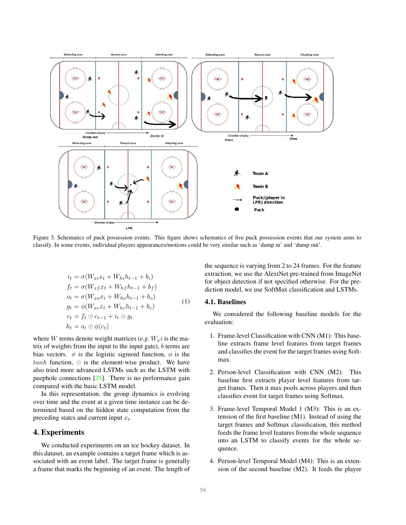<span id="page-3-1"></span>

<span id="page-3-0"></span>Figure 3. Schematics of puck possession events. This figure shows schematics of five puck possession events that our system aims to classify. In some events, individual players appearances/motions could be very similar such as 'dump in' and 'dump out'.

$$
i_t = \sigma(W_{xi}x_t + W_{hi}h_{t-1} + b_i)
$$
  
\n
$$
f_t = \sigma(W_{xf}x_t + W_{hf}h_{t-1} + b_f)
$$
  
\n
$$
o_t = \sigma(W_{xo}x_t + W_{ho}h_{t-1} + b_o)
$$
  
\n
$$
g_t = \phi(W_{xc}x_t + W_{hc}h_{t-1} + b_c)
$$
  
\n
$$
c_t = f_t \odot c_{t-1} + i_t \odot g_t
$$
  
\n
$$
h_t = o_t \odot \phi(c_t)
$$
 (1)

where W terms denote weight matrices  $(e.g. W_x i)$  is the matrix of weights from the input to the input gate),  $b$  terms are bias vectors.  $\sigma$  is the logistic sigmoid function,  $\phi$  is the  $tanh$  function,  $\odot$  is the element-wise product. We have also tried more advanced LSTMs such as the LSTM with peephole connections [\[25\]](#page-7-6). There is no performance gain compared with the basic LSTM model.

In this representation, the group dynamics is evolving over time and the event at a given time instance can be determined based on the hidden state computation from the preceding states and current input  $x_t$ .

## 4. Experiments

We conducted experiments on an ice hockey dataset. In this dataset, an example contains a target frame which is associated with an event label. The target frame is generally a frame that marks the beginning of an event. The length of the sequence is varying from 2 to 24 frames. For the feature extraction, we use the AlextNet pre-trained from ImageNet for object detection if not specified otherwise. For the prediction model, we use SoftMax classification and LSTMs.

#### 4.1. Baselines

We considered the following baseline models for the evaluation:

- 1. Frame-level Classification with CNN (M1): This baseline extracts frame level features from target frames and classifies the event for the target frames using Softmax.
- 2. Person-level Classification with CNN (M2): This baseline first extracts player level features from target frames. Then it max pools across players and then classifies event for target frames using Softmax.
- 3. Frame-level Temporal Model 1 (M3): This is an extension of the first baseline (M1). Instead of using the target frames and Softmax classification, this method feeds the frame level features from the whole sequence into an LSTM to classify events for the whole sequence.
- 4. Person-level Temporal Model (M4): This is an extension of the second baseline (M2). It feeds the player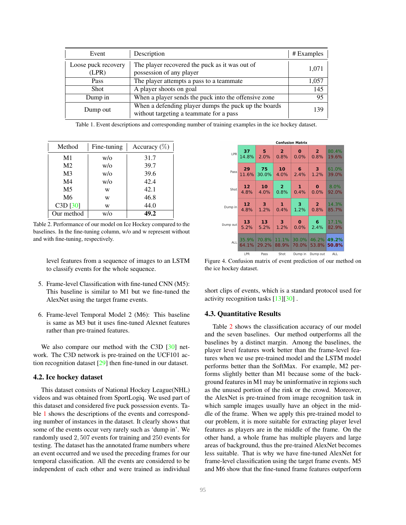<span id="page-4-3"></span>

| Event                        | Description                                                                                     | # Examples |
|------------------------------|-------------------------------------------------------------------------------------------------|------------|
| Loose puck recovery<br>(LPR) | The player recovered the puck as it was out of<br>possession of any player                      | 1,071      |
| Pass                         | The player attempts a pass to a teammate                                                        | 1,057      |
| <b>Shot</b>                  | A player shoots on goal                                                                         | 145        |
| Dump in                      | When a player sends the puck into the offensive zone                                            | 95         |
| Dump out                     | When a defending player dumps the puck up the boards<br>without targeting a teammate for a pass | 139        |

<span id="page-4-0"></span>Table 1. Event descriptions and corresponding number of training examples in the ice hockey dataset.

| Method         | Fine-tuning | Accuracy $(\%)$ |
|----------------|-------------|-----------------|
| M1             | W/O         | 31.7            |
| M <sub>2</sub> | $w/\alpha$  | 39.7            |
| M <sub>3</sub> | W/O         | 39.6            |
| M4             | $w/\alpha$  | 42.4            |
| M <sub>5</sub> | W           | 42.1            |
| M6             | w           | 46.8            |
| C3D [30]       | w           | 44.0            |
| Our method     | w/o         | 49.2            |

<span id="page-4-1"></span>Table 2. Performance of our model on Ice Hockey compared to the baselines. In the fine-tuning column, w/o and w represent without and with fine-tuning, respectively.

level features from a sequence of images to an LSTM to classify events for the whole sequence.

- 5. Frame-level Classification with fine-tuned CNN (M5): This baseline is similar to M1 but we fine-tuned the AlexNet using the target frame events.
- 6. Frame-level Temporal Model 2 (M6): This baseline is same as M3 but it uses fine-tuned Alexnet features rather than pre-trained features.

We also compare our method with the C3D [\[30\]](#page-7-7) network. The C3D network is pre-trained on the UCF101 action recognition dataset [\[29\]](#page-7-8) then fine-tuned in our dataset.

#### 4.2. Ice hockey dataset

This dataset consists of National Hockey League(NHL) videos and was obtained from SportLogiq. We used part of this dataset and considered five puck possession events. Table [1](#page-4-0) shows the descriptions of the events and corresponding number of instances in the dataset. It clearly shows that some of the events occur very rarely such as 'dump in'. We randomly used 2, 507 events for training and 250 events for testing. The dataset has the annotated frame numbers where an event occurred and we used the preceding frames for our temporal classification. All the events are considered to be independent of each other and were trained as individual

| <b>Confusion Matrix</b> |       |       |                |         |                |       |  |  |
|-------------------------|-------|-------|----------------|---------|----------------|-------|--|--|
| LPR                     | 37    | 5     | $\mathbf{2}$   | O       | 2              | 80.4% |  |  |
|                         | 14.8% | 2.0%  | 0.8%           | 0.0%    | 0.8%           | 19.6% |  |  |
| Pass                    | 29    | 75    | 10             | 6       | 3              | 61.0% |  |  |
|                         | 11.6% | 30.0% | 4.0%           | 2.4%    | 1.2%           | 39.0% |  |  |
| Shot                    | 12    | 10    | $\overline{2}$ | 1       | $\bf{0}$       | 8.0%  |  |  |
|                         | 4.8%  | 4.0%  | 0.8%           | 0.4%    | 0.0%           | 92.0% |  |  |
| Dump in                 | 12    | 3     | 1              | з       | $\overline{2}$ | 14.3% |  |  |
|                         | 4.8%  | 1.2%  | 0.4%           | 1.2%    | 0.8%           | 85.7% |  |  |
| Dump out                | 13    | 13    | 3              | $\bf o$ | 6              | 17.1% |  |  |
|                         | 5.2%  | 5.2%  | 1.2%           | 0.0%    | 2.4%           | 82.9% |  |  |
| <b>ALL</b>              | 35.9% | 70.8% | 11.1%          | 30.0%   | 46.2%          | 49.2% |  |  |
|                         | 64.1% | 29.2% | 88.9%          | 70.0%   | 53.8%          | 50.8% |  |  |
|                         | LPR   | Pass  | Shot           | Dump in | Dump out       | ALL   |  |  |

<span id="page-4-2"></span>Figure 4. Confusion matrix of event prediction of our method on the ice hockey dataset.

short clips of events, which is a standard protocol used for activity recognition tasks [\[13\]](#page-6-20)[\[30\]](#page-7-7) .

#### 4.3. Quantitative Results

Table [2](#page-4-1) shows the classification accuracy of our model and the seven baselines. Our method outperforms all the baselines by a distinct margin. Among the baselines, the player level features work better than the frame-level features when we use pre-trained model and the LSTM model performs better than the SoftMax. For example, M2 performs slightly better than M1 because some of the background features in M1 may be uninformative in regions such as the unused portion of the rink or the crowd. Moreover, the AlexNet is pre-trained from image recognition task in which sample images usually have an object in the middle of the frame. When we apply this pre-trained model to our problem, it is more suitable for extracting player level features as players are in the middle of the frame. On the other hand, a whole frame has multiple players and large areas of background, thus the pre-trained AlexNet becomes less suitable. That is why we have fine-tuned AlexNet for frame-level classification using the target frame events. M5 and M6 show that the fine-tuned frame features outperform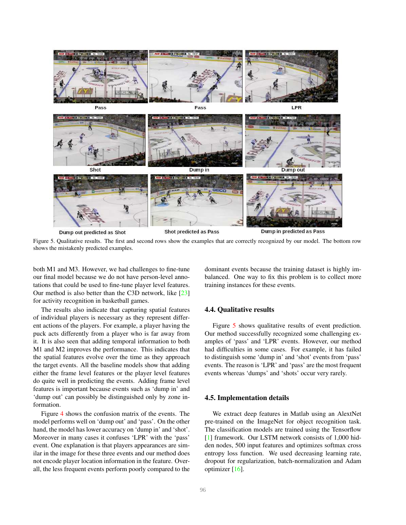<span id="page-5-1"></span>

<span id="page-5-0"></span>Figure 5. Qualitative results. The first and second rows show the examples that are correctly recognized by our model. The bottom row shows the mistakenly predicted examples.

both M1 and M3. However, we had challenges to fine-tune our final model because we do not have person-level annotations that could be used to fine-tune player level features. Our method is also better than the C3D network, like [\[23\]](#page-6-21) for activity recognition in basketball games.

The results also indicate that capturing spatial features of individual players is necessary as they represent different actions of the players. For example, a player having the puck acts differently from a player who is far away from it. It is also seen that adding temporal information to both M1 and M2 improves the performance. This indicates that the spatial features evolve over the time as they approach the target events. All the baseline models show that adding either the frame level features or the player level features do quite well in predicting the events. Adding frame level features is important because events such as 'dump in' and 'dump out' can possibly be distinguished only by zone information.

Figure [4](#page-4-2) shows the confusion matrix of the events. The model performs well on 'dump out' and 'pass'. On the other hand, the model has lower accuracy on 'dump in' and 'shot'. Moreover in many cases it confuses 'LPR' with the 'pass' event. One explanation is that players appearances are similar in the image for these three events and our method does not encode player location information in the feature. Overall, the less frequent events perform poorly compared to the

dominant events because the training dataset is highly imbalanced. One way to fix this problem is to collect more training instances for these events.

## 4.4. Qualitative results

Figure [5](#page-5-0) shows qualitative results of event prediction. Our method successfully recognized some challenging examples of 'pass' and 'LPR' events. However, our method had difficulties in some cases. For example, it has failed to distinguish some 'dump in' and 'shot' events from 'pass' events. The reason is 'LPR' and 'pass' are the most frequent events whereas 'dumps' and 'shots' occur very rarely.

#### 4.5. Implementation details

We extract deep features in Matlab using an AlextNet pre-trained on the ImageNet for object recognition task. The classification models are trained using the Tensorflow [\[1\]](#page-6-22) framework. Our LSTM network consists of 1,000 hidden nodes, 500 input features and optimizes softmax cross entropy loss function. We used decreasing learning rate, dropout for regularization, batch-normalization and Adam optimizer [\[16\]](#page-6-23).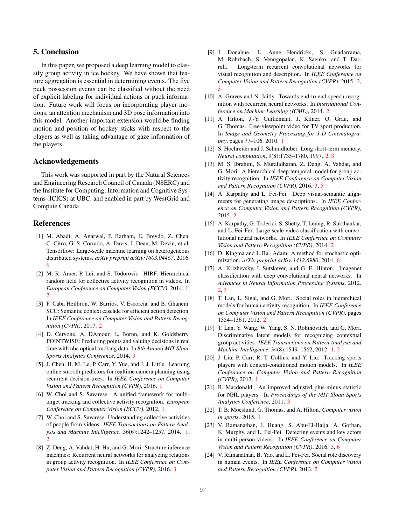# 5. Conclusion

In this paper, we proposed a deep learning model to classify group activity in ice hockey. We have shown that feature aggregation is essential in determining events. The five puck possession events can be classified without the need of explicit labeling for individual actions or puck information. Future work will focus on incorporating player motions, an attention mechanism and 3D pose information into this model. Another important extension would be finding motion and position of hockey sticks with respect to the players as well as taking advantage of gaze information of the players.

#### Acknowledgements

This work was supported in part by the Natural Sciences and Engineering Research Council of Canada (NSERC) and the Institute for Computing, Information and Cognitive Systems (ICICS) at UBC, and enabled in part by WestGrid and Compute Canada

#### **References**

- <span id="page-6-22"></span>[1] M. Abadi, A. Agarwal, P. Barham, E. Brevdo, Z. Chen, C. Citro, G. S. Corrado, A. Davis, J. Dean, M. Devin, et al. Tensorflow: Large-scale machine learning on heterogeneous distributed systems. *arXiv preprint arXiv:1603.04467*, 2016. [6](#page-5-1)
- <span id="page-6-4"></span>[2] M. R. Amer, P. Lei, and S. Todorovic. HIRF: Hierarchical random field for collective activity recognition in videos. In *European Conference on Computer Vision (ECCV)*, 2014. [1,](#page-0-1) [2](#page-1-1)
- <span id="page-6-15"></span>[3] F. Caba Heilbron, W. Barrios, V. Escorcia, and B. Ghanem. SCC: Semantic context cascade for efficient action detection. In *IEEE Conference on Computer Vision and Pattern Recognition (CVPR)*, 2017. [2](#page-1-1)
- <span id="page-6-17"></span>[4] D. Cervone, A. DAmour, L. Bornn, and K. Goldsberry. POINTWISE: Predicting points and valuing decisions in real time with nba optical tracking data. In *8th Annual MIT Sloan Sports Analytics Conference*, 2014. [3](#page-2-0)
- <span id="page-6-3"></span>[5] J. Chen, H. M. Le, P. Carr, Y. Yue, and J. J. Little. Learning online smooth predictors for realtime camera planning using recurrent decision trees. In *IEEE Conference on Computer Vision and Pattern Recognition (CVPR)*, 2016. [1](#page-0-1)
- <span id="page-6-7"></span>[6] W. Choi and S. Savarese. A unified framework for multitarget tracking and collective activity recognition. *European Conference on Computer Vision (ECCV)*, 2012. [1](#page-0-1)
- <span id="page-6-5"></span>[7] W. Choi and S. Savarese. Understanding collective activities of people from videos. *IEEE Transactions on Pattern Analysis and Machine Intelligence*, 36(6):1242–1257, 2014. [1,](#page-0-1) [2](#page-1-1)
- <span id="page-6-19"></span>[8] Z. Deng, A. Vahdat, H. Hu, and G. Mori. Structure inference machines: Recurrent neural networks for analyzing relations in group activity recognition. In *IEEE Conference on Computer Vision and Pattern Recognition (CVPR)*, 2016. [3](#page-2-0)
- <span id="page-6-14"></span>[9] J. Donahue, L. Anne Hendricks, S. Guadarrama, M. Rohrbach, S. Venugopalan, K. Saenko, and T. Darrell. Long-term recurrent convolutional networks for visual recognition and description. In *IEEE Conference on Computer Vision and Pattern Recognition (CVPR)*, 2015. [2,](#page-1-1) [3](#page-2-0)
- <span id="page-6-13"></span>[10] A. Graves and N. Jaitly. Towards end-to-end speech recognition with recurrent neural networks. In *International Conference on Machine Learning (ICML)*, 2014. [2](#page-1-1)
- <span id="page-6-2"></span>[11] A. Hilton, J.-Y. Guillemaut, J. Kilner, O. Grau, and G. Thomas. Free-viewpoint video for TV sport production. In *Image and Geometry Processing for 3-D Cinematography*, pages 77–106. 2010. [1](#page-0-1)
- <span id="page-6-12"></span>[12] S. Hochreiter and J. Schmidhuber. Long short-term memory. *Neural computation*, 9(8):1735–1780, 1997. [2,](#page-1-1) [3](#page-2-0)
- <span id="page-6-20"></span>[13] M. S. Ibrahim, S. Muralidharan, Z. Deng, A. Vahdat, and G. Mori. A hierarchical deep temporal model for group activity recognition. In *IEEE Conference on Computer Vision and Pattern Recognition (CVPR)*, 2016. [3,](#page-2-0) [5](#page-4-3)
- <span id="page-6-16"></span>[14] A. Karpathy and L. Fei-Fei. Deep visual-semantic alignments for generating image descriptions. In *IEEE Conference on Computer Vision and Pattern Recognition (CVPR)*, 2015. [2](#page-1-1)
- <span id="page-6-11"></span>[15] A. Karpathy, G. Toderici, S. Shetty, T. Leung, R. Sukthankar, and L. Fei-Fei. Large-scale video classification with convolutional neural networks. In *IEEE Conference on Computer Vision and Pattern Recognition (CVPR)*, 2014. [2](#page-1-1)
- <span id="page-6-23"></span>[16] D. Kingma and J. Ba. Adam: A method for stochastic optimization. *arXiv preprint arXiv:1412.6980*, 2014. [6](#page-5-1)
- <span id="page-6-10"></span>[17] A. Krizhevsky, I. Sutskever, and G. E. Hinton. Imagenet classification with deep convolutional neural networks. In *Advances in Neural Information Processing Systems*, 2012. [2,](#page-1-1) [3](#page-2-0)
- <span id="page-6-8"></span>[18] T. Lan, L. Sigal, and G. Mori. Social roles in hierarchical models for human activity recognition. In *IEEE Conference on Computer Vision and Pattern Recognition (CVPR)*, pages 1354–1361, 2012. [2](#page-1-1)
- <span id="page-6-6"></span>[19] T. Lan, Y. Wang, W. Yang, S. N. Robinovitch, and G. Mori. Discriminative latent models for recognizing contextual group activities. *IEEE Transactions on Pattern Analysis and Machine Intelligence*, 34(8):1549–1562, 2012. [1,](#page-0-1) [2](#page-1-1)
- <span id="page-6-1"></span>[20] J. Liu, P. Carr, R. T. Collins, and Y. Liu. Tracking sports players with context-conditioned motion models. In *IEEE Conference on Computer Vision and Pattern Recognition (CVPR)*, 2013. [1](#page-0-1)
- <span id="page-6-18"></span>[21] B. Macdonald. An improved adjusted plus-minus statistic for NHL players. In *Proceedings of the MIT Sloan Sports Analytics Conference*, 2011. [3](#page-2-0)
- <span id="page-6-0"></span>[22] T. B. Moeslund, G. Thomas, and A. Hilton. *Computer vision in sports*. 2015. [1](#page-0-1)
- <span id="page-6-21"></span>[23] V. Ramanathan, J. Huang, S. Abu-El-Haija, A. Gorban, K. Murphy, and L. Fei-Fei. Detecting events and key actors in multi-person videos. In *IEEE Conference on Computer Vision and Pattern Recognition (CVPR)*, 2016. [3,](#page-2-0) [6](#page-5-1)
- <span id="page-6-9"></span>[24] V. Ramanathan, B. Yao, and L. Fei-Fei. Social role discovery in human events. In *IEEE Conference on Computer Vision and Pattern Recognition (CVPR)*, 2013. [2](#page-1-1)